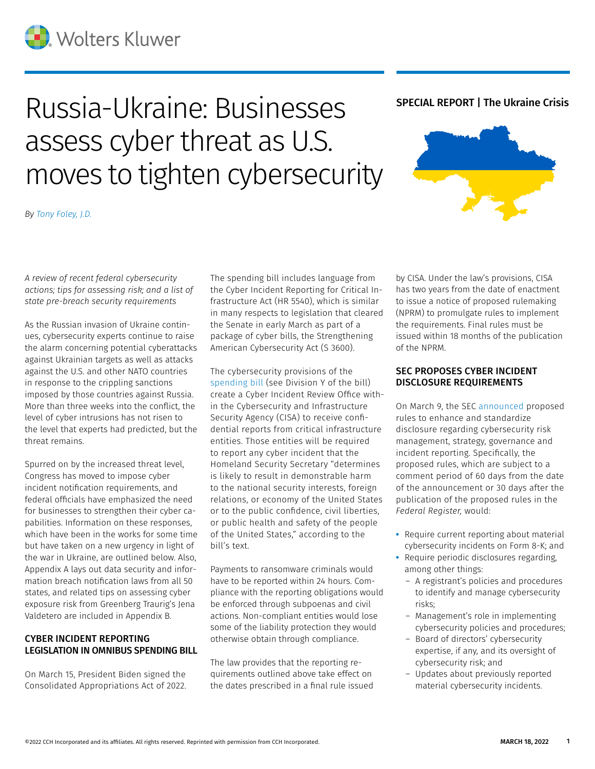# Russia-Ukraine: Businesses assess cyber threat as U.S. moves to tighten cybersecurity

## SPECIAL REPORT | The Ukraine Crisis



*By [Tony Foley, J.D.](mailto:thomas.foley@wolterskluwer.com)*

*A review of recent federal cybersecurity actions; tips for assessing risk; and a list of state pre-breach security requirements*

As the Russian invasion of Ukraine continues, cybersecurity experts continue to raise the alarm concerning potential cyberattacks against Ukrainian targets as well as attacks against the U.S. and other NATO countries in response to the crippling sanctions imposed by those countries against Russia. More than three weeks into the conflict, the level of cyber intrusions has not risen to the level that experts had predicted, but the threat remains.

Spurred on by the increased threat level, Congress has moved to impose cyber incident notification requirements, and federal officials have emphasized the need for businesses to strengthen their cyber capabilities. Information on these responses, which have been in the works for some time but have taken on a new urgency in light of the war in Ukraine, are outlined below. Also, Appendix A lays out data security and information breach notification laws from all 50 states, and related tips on assessing cyber exposure risk from Greenberg Traurig's Jena Valdetero are included in Appendix B.

## CYBER INCIDENT REPORTING LEGISLATION IN OMNIBUS SPENDING BILL

On March 15, President Biden signed the Consolidated Appropriations Act of 2022. The spending bill includes language from the Cyber Incident Reporting for Critical Infrastructure Act (HR 5540), which is similar in many respects to legislation that cleared the Senate in early March as part of a package of cyber bills, the Strengthening American Cybersecurity Act (S 3600).

The cybersecurity provisions of the [spending bill](https://business.cch.com/CybersecurityPrivacy/hr2471.pdf) (see Division Y of the bill) create a Cyber Incident Review Office within the Cybersecurity and Infrastructure Security Agency (CISA) to receive confidential reports from critical infrastructure entities. Those entities will be required to report any cyber incident that the Homeland Security Secretary "determines is likely to result in demonstrable harm to the national security interests, foreign relations, or economy of the United States or to the public confidence, civil liberties, or public health and safety of the people of the United States," according to the bill's text.

Payments to ransomware criminals would have to be reported within 24 hours. Compliance with the reporting obligations would be enforced through subpoenas and civil actions. Non-compliant entities would lose some of the liability protection they would otherwise obtain through compliance.

The law provides that the reporting requirements outlined above take effect on the dates prescribed in a final rule issued

by CISA. Under the law's provisions, CISA has two years from the date of enactment to issue a notice of proposed rulemaking (NPRM) to promulgate rules to implement the requirements. Final rules must be issued within 18 months of the publication of the NPRM.

## SEC PROPOSES CYBER INCIDENT DISCLOSURE REQUIREMENTS

On March 9, the SEC [announced](https://business.cch.com/srd/SECgov_SECProposesRulesonCybersecurityRiskManagementStrategy.pdf) proposed rules to enhance and standardize disclosure regarding cybersecurity risk management, strategy, governance and incident reporting. Specifically, the proposed rules, which are subject to a comment period of 60 days from the date of the announcement or 30 days after the publication of the proposed rules in the *Federal Register,* would:

- **•** Require current reporting about material cybersecurity incidents on Form 8-K; and
- **•** Require periodic disclosures regarding, among other things:
	- A registrant's policies and procedures to identify and manage cybersecurity risks;
	- Management's role in implementing cybersecurity policies and procedures;
	- Board of directors' cybersecurity expertise, if any, and its oversight of cybersecurity risk; and
	- Updates about previously reported material cybersecurity incidents.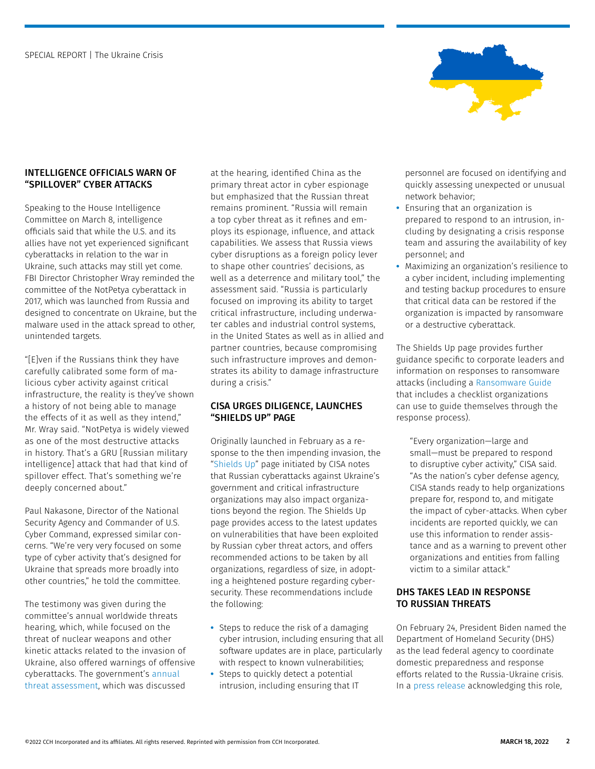

## INTELLIGENCE OFFICIALS WARN OF "SPILLOVER" CYBER ATTACKS

Speaking to the House Intelligence Committee on March 8, intelligence officials said that while the U.S. and its allies have not yet experienced significant cyberattacks in relation to the war in Ukraine, such attacks may still yet come. FBI Director Christopher Wray reminded the committee of the NotPetya cyberattack in 2017, which was launched from Russia and designed to concentrate on Ukraine, but the malware used in the attack spread to other, unintended targets.

"[E]ven if the Russians think they have carefully calibrated some form of malicious cyber activity against critical infrastructure, the reality is they've shown a history of not being able to manage the effects of it as well as they intend," Mr. Wray said. "NotPetya is widely viewed as one of the most destructive attacks in history. That's a GRU [Russian military intelligence] attack that had that kind of spillover effect. That's something we're deeply concerned about."

Paul Nakasone, Director of the National Security Agency and Commander of U.S. Cyber Command, expressed similar concerns. "We're very very focused on some type of cyber activity that's designed for Ukraine that spreads more broadly into other countries," he told the committee.

The testimony was given during the committee's annual worldwide threats hearing, which, while focused on the threat of nuclear weapons and other kinetic attacks related to the invasion of Ukraine, also offered warnings of offensive cyberattacks. The government's [annual](https://business.cch.com/CybersecurityPrivacy/threat-assessment.pdf)  [threat assessment](https://business.cch.com/CybersecurityPrivacy/threat-assessment.pdf), which was discussed

at the hearing, identified China as the primary threat actor in cyber espionage but emphasized that the Russian threat remains prominent. "Russia will remain a top cyber threat as it refines and employs its espionage, influence, and attack capabilities. We assess that Russia views cyber disruptions as a foreign policy lever to shape other countries' decisions, as well as a deterrence and military tool," the assessment said. "Russia is particularly focused on improving its ability to target critical infrastructure, including underwater cables and industrial control systems, in the United States as well as in allied and partner countries, because compromising such infrastructure improves and demonstrates its ability to damage infrastructure during a crisis."

## CISA URGES DILIGENCE, LAUNCHES "SHIELDS UP" PAGE

Originally launched in February as a response to the then impending invasion, the ["Shields Up"](https://www.cisa.gov/shields-up) page initiated by CISA notes that Russian cyberattacks against Ukraine's government and critical infrastructure organizations may also impact organizations beyond the region. The Shields Up page provides access to the latest updates on vulnerabilities that have been exploited by Russian cyber threat actors, and offers recommended actions to be taken by all organizations, regardless of size, in adopting a heightened posture regarding cybersecurity. These recommendations include the following:

- **•** Steps to reduce the risk of a damaging cyber intrusion, including ensuring that all software updates are in place, particularly with respect to known vulnerabilities;
- **•** Steps to quickly detect a potential intrusion, including ensuring that IT

personnel are focused on identifying and quickly assessing unexpected or unusual network behavior;

- **•** Ensuring that an organization is prepared to respond to an intrusion, including by designating a crisis response team and assuring the availability of key personnel; and
- **•** Maximizing an organization's resilience to a cyber incident, including implementing and testing backup procedures to ensure that critical data can be restored if the organization is impacted by ransomware or a destructive cyberattack.

The Shields Up page provides further guidance specific to corporate leaders and information on responses to ransomware attacks (including a [Ransomware Guide](https://www.cisa.gov/stopransomware/ransomware-guide) that includes a checklist organizations can use to guide themselves through the response process).

"Every organization—large and small—must be prepared to respond to disruptive cyber activity," CISA said. "As the nation's cyber defense agency, CISA stands ready to help organizations prepare for, respond to, and mitigate the impact of cyber-attacks. When cyber incidents are reported quickly, we can use this information to render assistance and as a warning to prevent other organizations and entities from falling victim to a similar attack."

## DHS TAKES LEAD IN RESPONSE TO RUSSIAN THREATS

On February 24, President Biden named the Department of Homeland Security (DHS) as the lead federal agency to coordinate domestic preparedness and response efforts related to the Russia-Ukraine crisis. In a [press release](https://www.dhs.gov/news/2022/02/24/dhs-designated-lead-federal-agency-respond-russia-related-impacts-united-states) acknowledging this role,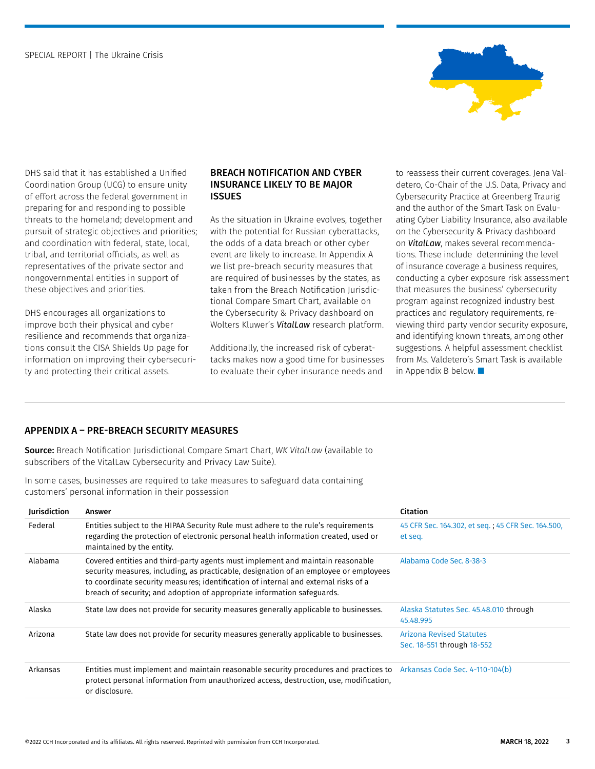

DHS said that it has established a Unified Coordination Group (UCG) to ensure unity of effort across the federal government in preparing for and responding to possible threats to the homeland; development and pursuit of strategic objectives and priorities; and coordination with federal, state, local, tribal, and territorial officials, as well as representatives of the private sector and nongovernmental entities in support of these objectives and priorities.

DHS encourages all organizations to improve both their physical and cyber resilience and recommends that organizations consult the CISA Shields Up page for information on improving their cybersecurity and protecting their critical assets.

#### BREACH NOTIFICATION AND CYBER INSURANCE LIKELY TO BE MAJOR **ISSUES**

As the situation in Ukraine evolves, together with the potential for Russian cyberattacks, the odds of a data breach or other cyber event are likely to increase. In Appendix A we list pre-breach security measures that are required of businesses by the states, as taken from the Breach Notification Jurisdictional Compare Smart Chart, available on the Cybersecurity & Privacy dashboard on Wolters Kluwer's *VitalLaw* research platform.

Additionally, the increased risk of cyberattacks makes now a good time for businesses to evaluate their cyber insurance needs and

to reassess their current coverages. Jena Valdetero, Co-Chair of the U.S. Data, Privacy and Cybersecurity Practice at Greenberg Traurig and the author of the Smart Task on Evaluating Cyber Liability Insurance, also available on the Cybersecurity & Privacy dashboard on *VitalLaw*, makes several recommendations. These include determining the level of insurance coverage a business requires, conducting a cyber exposure risk assessment that measures the business' cybersecurity program against recognized industry best practices and regulatory requirements, reviewing third party vendor security exposure, and identifying known threats, among other suggestions. A helpful assessment checklist from Ms. Valdetero's Smart Task is available in Appendix B below.  $\blacksquare$ 

## APPENDIX A – PRE-BREACH SECURITY MEASURES

Source: Breach Notification Jurisdictional Compare Smart Chart, *WK VitalLaw* (available to subscribers of the VitalLaw Cybersecurity and Privacy Law Suite).

In some cases, businesses are required to take measures to safeguard data containing customers' personal information in their possession

| Jurisdiction | Answer                                                                                                                                                                                                                                                                                                                                    | Citation                                                      |
|--------------|-------------------------------------------------------------------------------------------------------------------------------------------------------------------------------------------------------------------------------------------------------------------------------------------------------------------------------------------|---------------------------------------------------------------|
| Federal      | Entities subject to the HIPAA Security Rule must adhere to the rule's requirements<br>regarding the protection of electronic personal health information created, used or<br>maintained by the entity.                                                                                                                                    | 45 CFR Sec. 164.302, et seq.; 45 CFR Sec. 164.500,<br>et seq. |
| Alabama      | Covered entities and third-party agents must implement and maintain reasonable<br>security measures, including, as practicable, designation of an employee or employees<br>to coordinate security measures; identification of internal and external risks of a<br>breach of security; and adoption of appropriate information safeguards. | Alabama Code Sec. 8-38-3                                      |
| Alaska       | State law does not provide for security measures generally applicable to businesses.                                                                                                                                                                                                                                                      | Alaska Statutes Sec. 45.48.010 through<br>45.48.995           |
| Arizona      | State law does not provide for security measures generally applicable to businesses.                                                                                                                                                                                                                                                      | <b>Arizona Revised Statutes</b><br>Sec. 18-551 through 18-552 |
| Arkansas     | Entities must implement and maintain reasonable security procedures and practices to Arkansas Code Sec. 4-110-104(b)<br>protect personal information from unauthorized access, destruction, use, modification,<br>or disclosure.                                                                                                          |                                                               |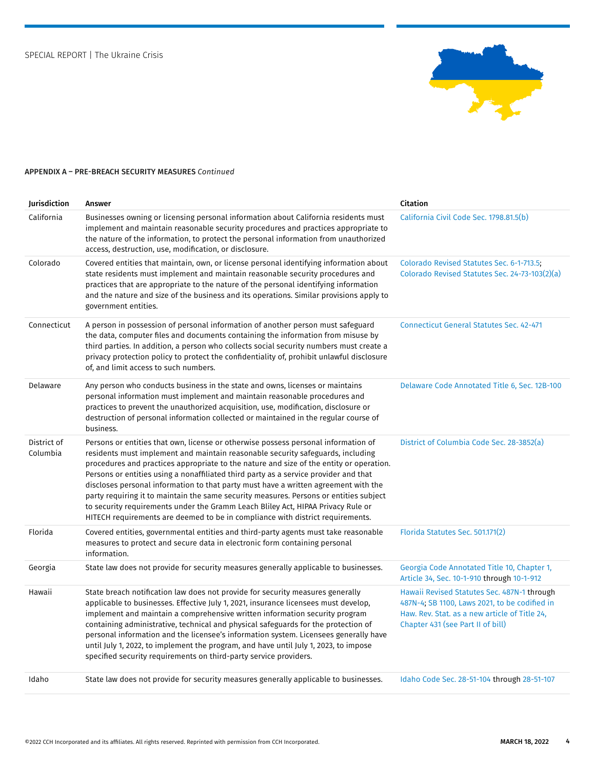

| Jurisdiction            | Answer                                                                                                                                                                                                                                                                                                                                                                                                                                                                                                                                                                                                                                                                                                          | Citation                                                                                                                                                                           |
|-------------------------|-----------------------------------------------------------------------------------------------------------------------------------------------------------------------------------------------------------------------------------------------------------------------------------------------------------------------------------------------------------------------------------------------------------------------------------------------------------------------------------------------------------------------------------------------------------------------------------------------------------------------------------------------------------------------------------------------------------------|------------------------------------------------------------------------------------------------------------------------------------------------------------------------------------|
| California              | Businesses owning or licensing personal information about California residents must<br>implement and maintain reasonable security procedures and practices appropriate to<br>the nature of the information, to protect the personal information from unauthorized<br>access, destruction, use, modification, or disclosure.                                                                                                                                                                                                                                                                                                                                                                                     | California Civil Code Sec. 1798.81.5(b)                                                                                                                                            |
| Colorado                | Covered entities that maintain, own, or license personal identifying information about<br>state residents must implement and maintain reasonable security procedures and<br>practices that are appropriate to the nature of the personal identifying information<br>and the nature and size of the business and its operations. Similar provisions apply to<br>government entities.                                                                                                                                                                                                                                                                                                                             | Colorado Revised Statutes Sec. 6-1-713.5;<br>Colorado Revised Statutes Sec. 24-73-103(2)(a)                                                                                        |
| Connecticut             | A person in possession of personal information of another person must safeguard<br>the data, computer files and documents containing the information from misuse by<br>third parties. In addition, a person who collects social security numbers must create a<br>privacy protection policy to protect the confidentiality of, prohibit unlawful disclosure<br>of, and limit access to such numbers.                                                                                                                                                                                                                                                                                                            | <b>Connecticut General Statutes Sec. 42-471</b>                                                                                                                                    |
| Delaware                | Any person who conducts business in the state and owns, licenses or maintains<br>personal information must implement and maintain reasonable procedures and<br>practices to prevent the unauthorized acquisition, use, modification, disclosure or<br>destruction of personal information collected or maintained in the regular course of<br>business.                                                                                                                                                                                                                                                                                                                                                         | Delaware Code Annotated Title 6, Sec. 12B-100                                                                                                                                      |
| District of<br>Columbia | Persons or entities that own, license or otherwise possess personal information of<br>residents must implement and maintain reasonable security safeguards, including<br>procedures and practices appropriate to the nature and size of the entity or operation.<br>Persons or entities using a nonaffiliated third party as a service provider and that<br>discloses personal information to that party must have a written agreement with the<br>party requiring it to maintain the same security measures. Persons or entities subject<br>to security requirements under the Gramm Leach Bliley Act, HIPAA Privacy Rule or<br>HITECH requirements are deemed to be in compliance with district requirements. | District of Columbia Code Sec. 28-3852(a)                                                                                                                                          |
| Florida                 | Covered entities, governmental entities and third-party agents must take reasonable<br>measures to protect and secure data in electronic form containing personal<br>information.                                                                                                                                                                                                                                                                                                                                                                                                                                                                                                                               | Florida Statutes Sec. 501.171(2)                                                                                                                                                   |
| Georgia                 | State law does not provide for security measures generally applicable to businesses.                                                                                                                                                                                                                                                                                                                                                                                                                                                                                                                                                                                                                            | Georgia Code Annotated Title 10, Chapter 1,<br>Article 34, Sec. 10-1-910 through 10-1-912                                                                                          |
| Hawaii                  | State breach notification law does not provide for security measures generally<br>applicable to businesses. Effective July 1, 2021, insurance licensees must develop,<br>implement and maintain a comprehensive written information security program<br>containing administrative, technical and physical safeguards for the protection of<br>personal information and the licensee's information system. Licensees generally have<br>until July 1, 2022, to implement the program, and have until July 1, 2023, to impose<br>specified security requirements on third-party service providers.                                                                                                                 | Hawaii Revised Statutes Sec. 487N-1 through<br>487N-4; SB 1100, Laws 2021, to be codified in<br>Haw. Rev. Stat. as a new article of Title 24,<br>Chapter 431 (see Part II of bill) |
| Idaho                   | State law does not provide for security measures generally applicable to businesses.                                                                                                                                                                                                                                                                                                                                                                                                                                                                                                                                                                                                                            | Idaho Code Sec. 28-51-104 through 28-51-107                                                                                                                                        |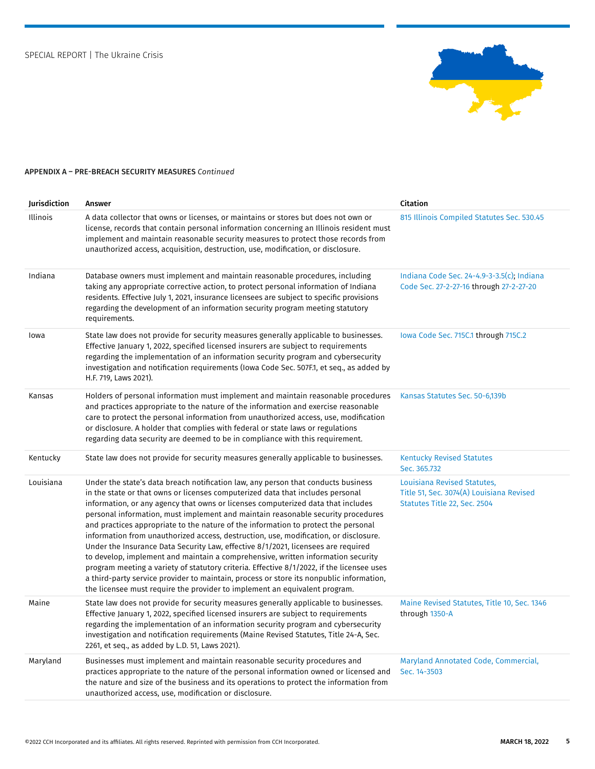

| Jurisdiction | Answer                                                                                                                                                                                                                                                                                                                                                                                                                                                                                                                                                                                                                                                                                                                                                                                                                                                                                                                                                                   | Citation                                                                                                |
|--------------|--------------------------------------------------------------------------------------------------------------------------------------------------------------------------------------------------------------------------------------------------------------------------------------------------------------------------------------------------------------------------------------------------------------------------------------------------------------------------------------------------------------------------------------------------------------------------------------------------------------------------------------------------------------------------------------------------------------------------------------------------------------------------------------------------------------------------------------------------------------------------------------------------------------------------------------------------------------------------|---------------------------------------------------------------------------------------------------------|
| Illinois     | A data collector that owns or licenses, or maintains or stores but does not own or<br>license, records that contain personal information concerning an Illinois resident must<br>implement and maintain reasonable security measures to protect those records from<br>unauthorized access, acquisition, destruction, use, modification, or disclosure.                                                                                                                                                                                                                                                                                                                                                                                                                                                                                                                                                                                                                   | 815 Illinois Compiled Statutes Sec. 530.45                                                              |
| Indiana      | Database owners must implement and maintain reasonable procedures, including<br>taking any appropriate corrective action, to protect personal information of Indiana<br>residents. Effective July 1, 2021, insurance licensees are subject to specific provisions<br>regarding the development of an information security program meeting statutory<br>requirements.                                                                                                                                                                                                                                                                                                                                                                                                                                                                                                                                                                                                     | Indiana Code Sec. 24-4.9-3-3.5(c); Indiana<br>Code Sec. 27-2-27-16 through 27-2-27-20                   |
| lowa         | State law does not provide for security measures generally applicable to businesses.<br>Effective January 1, 2022, specified licensed insurers are subject to requirements<br>regarding the implementation of an information security program and cybersecurity<br>investigation and notification requirements (lowa Code Sec. 507F.1, et seq., as added by<br>H.F. 719, Laws 2021).                                                                                                                                                                                                                                                                                                                                                                                                                                                                                                                                                                                     | Iowa Code Sec. 715C.1 through 715C.2                                                                    |
| Kansas       | Holders of personal information must implement and maintain reasonable procedures<br>and practices appropriate to the nature of the information and exercise reasonable<br>care to protect the personal information from unauthorized access, use, modification<br>or disclosure. A holder that complies with federal or state laws or regulations<br>regarding data security are deemed to be in compliance with this requirement.                                                                                                                                                                                                                                                                                                                                                                                                                                                                                                                                      | Kansas Statutes Sec. 50-6,139b                                                                          |
| Kentucky     | State law does not provide for security measures generally applicable to businesses.                                                                                                                                                                                                                                                                                                                                                                                                                                                                                                                                                                                                                                                                                                                                                                                                                                                                                     | <b>Kentucky Revised Statutes</b><br>Sec. 365.732                                                        |
| Louisiana    | Under the state's data breach notification law, any person that conducts business<br>in the state or that owns or licenses computerized data that includes personal<br>information, or any agency that owns or licenses computerized data that includes<br>personal information, must implement and maintain reasonable security procedures<br>and practices appropriate to the nature of the information to protect the personal<br>information from unauthorized access, destruction, use, modification, or disclosure.<br>Under the Insurance Data Security Law, effective 8/1/2021, licensees are required<br>to develop, implement and maintain a comprehensive, written information security<br>program meeting a variety of statutory criteria. Effective 8/1/2022, if the licensee uses<br>a third-party service provider to maintain, process or store its nonpublic information,<br>the licensee must require the provider to implement an equivalent program. | Louisiana Revised Statutes,<br>Title 51, Sec. 3074(A) Louisiana Revised<br>Statutes Title 22, Sec. 2504 |
| Maine        | State law does not provide for security measures generally applicable to businesses.<br>Effective January 1, 2022, specified licensed insurers are subject to requirements<br>regarding the implementation of an information security program and cybersecurity<br>investigation and notification requirements (Maine Revised Statutes, Title 24-A, Sec.<br>2261, et seq., as added by L.D. 51, Laws 2021).                                                                                                                                                                                                                                                                                                                                                                                                                                                                                                                                                              | Maine Revised Statutes, Title 10, Sec. 1346<br>through 1350-A                                           |
| Maryland     | Businesses must implement and maintain reasonable security procedures and<br>practices appropriate to the nature of the personal information owned or licensed and<br>the nature and size of the business and its operations to protect the information from<br>unauthorized access, use, modification or disclosure.                                                                                                                                                                                                                                                                                                                                                                                                                                                                                                                                                                                                                                                    | Maryland Annotated Code, Commercial,<br>Sec. 14-3503                                                    |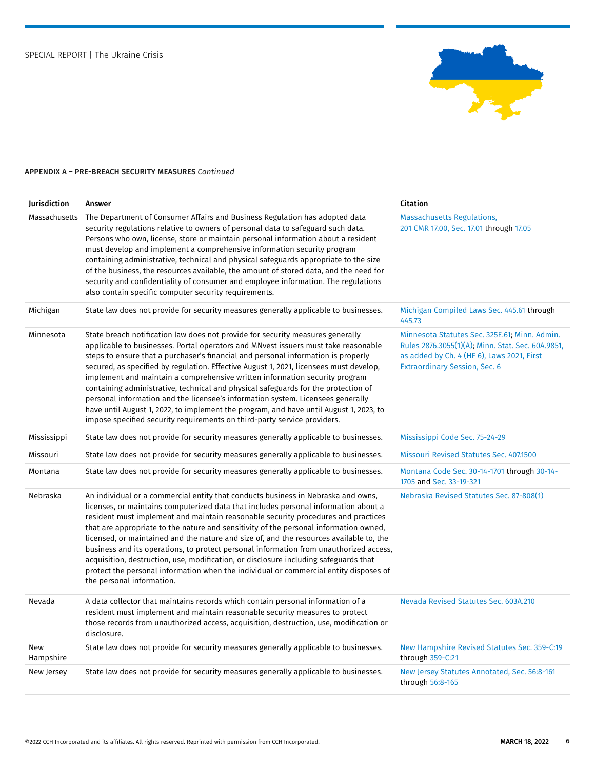

| Jurisdiction     | Answer                                                                                                                                                                                                                                                                                                                                                                                                                                                                                                                                                                                                                                                                                                                                                                            | Citation                                                                                                                                                                                 |
|------------------|-----------------------------------------------------------------------------------------------------------------------------------------------------------------------------------------------------------------------------------------------------------------------------------------------------------------------------------------------------------------------------------------------------------------------------------------------------------------------------------------------------------------------------------------------------------------------------------------------------------------------------------------------------------------------------------------------------------------------------------------------------------------------------------|------------------------------------------------------------------------------------------------------------------------------------------------------------------------------------------|
| Massachusetts    | The Department of Consumer Affairs and Business Regulation has adopted data<br>security regulations relative to owners of personal data to safeguard such data.<br>Persons who own, license, store or maintain personal information about a resident<br>must develop and implement a comprehensive information security program<br>containing administrative, technical and physical safeguards appropriate to the size<br>of the business, the resources available, the amount of stored data, and the need for<br>security and confidentiality of consumer and employee information. The regulations<br>also contain specific computer security requirements.                                                                                                                   | <b>Massachusetts Regulations,</b><br>201 CMR 17.00, Sec. 17.01 through 17.05                                                                                                             |
| Michigan         | State law does not provide for security measures generally applicable to businesses.                                                                                                                                                                                                                                                                                                                                                                                                                                                                                                                                                                                                                                                                                              | Michigan Compiled Laws Sec. 445.61 through<br>445.73                                                                                                                                     |
| Minnesota        | State breach notification law does not provide for security measures generally<br>applicable to businesses. Portal operators and MNvest issuers must take reasonable<br>steps to ensure that a purchaser's financial and personal information is properly<br>secured, as specified by regulation. Effective August 1, 2021, licensees must develop,<br>implement and maintain a comprehensive written information security program<br>containing administrative, technical and physical safeguards for the protection of<br>personal information and the licensee's information system. Licensees generally<br>have until August 1, 2022, to implement the program, and have until August 1, 2023, to<br>impose specified security requirements on third-party service providers. | Minnesota Statutes Sec. 325E.61; Minn. Admin.<br>Rules 2876.3055(1)(A); Minn. Stat. Sec. 60A.9851,<br>as added by Ch. 4 (HF 6), Laws 2021, First<br><b>Extraordinary Session, Sec. 6</b> |
| Mississippi      | State law does not provide for security measures generally applicable to businesses.                                                                                                                                                                                                                                                                                                                                                                                                                                                                                                                                                                                                                                                                                              | Mississippi Code Sec. 75-24-29                                                                                                                                                           |
| Missouri         | State law does not provide for security measures generally applicable to businesses.                                                                                                                                                                                                                                                                                                                                                                                                                                                                                                                                                                                                                                                                                              | Missouri Revised Statutes Sec. 407.1500                                                                                                                                                  |
| Montana          | State law does not provide for security measures generally applicable to businesses.                                                                                                                                                                                                                                                                                                                                                                                                                                                                                                                                                                                                                                                                                              | Montana Code Sec. 30-14-1701 through 30-14-<br>1705 and Sec. 33-19-321                                                                                                                   |
| Nebraska         | An individual or a commercial entity that conducts business in Nebraska and owns,<br>licenses, or maintains computerized data that includes personal information about a<br>resident must implement and maintain reasonable security procedures and practices<br>that are appropriate to the nature and sensitivity of the personal information owned,<br>licensed, or maintained and the nature and size of, and the resources available to, the<br>business and its operations, to protect personal information from unauthorized access,<br>acquisition, destruction, use, modification, or disclosure including safeguards that<br>protect the personal information when the individual or commercial entity disposes of<br>the personal information.                         | Nebraska Revised Statutes Sec. 87-808(1)                                                                                                                                                 |
| Nevada           | A data collector that maintains records which contain personal information of a<br>resident must implement and maintain reasonable security measures to protect<br>those records from unauthorized access, acquisition, destruction, use, modification or<br>disclosure.                                                                                                                                                                                                                                                                                                                                                                                                                                                                                                          | Nevada Revised Statutes Sec. 603A.210                                                                                                                                                    |
| New<br>Hampshire | State law does not provide for security measures generally applicable to businesses.                                                                                                                                                                                                                                                                                                                                                                                                                                                                                                                                                                                                                                                                                              | New Hampshire Revised Statutes Sec. 359-C:19<br>through 359-C:21                                                                                                                         |
| New Jersey       | State law does not provide for security measures generally applicable to businesses.                                                                                                                                                                                                                                                                                                                                                                                                                                                                                                                                                                                                                                                                                              | New Jersey Statutes Annotated, Sec. 56:8-161<br>through 56:8-165                                                                                                                         |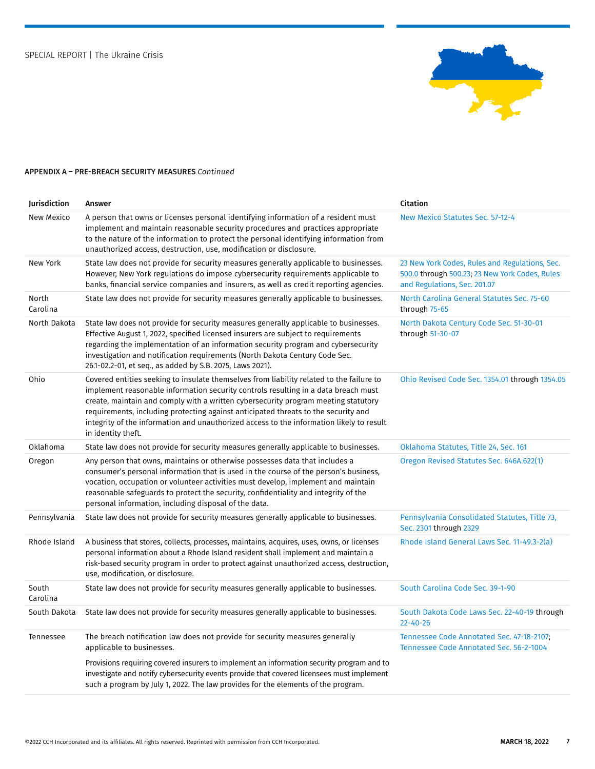

| Jurisdiction      | Answer                                                                                                                                                                                                                                                                                                                                                                                                                                                                       | <b>Citation</b>                                                                                                                  |
|-------------------|------------------------------------------------------------------------------------------------------------------------------------------------------------------------------------------------------------------------------------------------------------------------------------------------------------------------------------------------------------------------------------------------------------------------------------------------------------------------------|----------------------------------------------------------------------------------------------------------------------------------|
| New Mexico        | A person that owns or licenses personal identifying information of a resident must<br>implement and maintain reasonable security procedures and practices appropriate<br>to the nature of the information to protect the personal identifying information from<br>unauthorized access, destruction, use, modification or disclosure.                                                                                                                                         | New Mexico Statutes Sec. 57-12-4                                                                                                 |
| New York          | State law does not provide for security measures generally applicable to businesses.<br>However, New York regulations do impose cybersecurity requirements applicable to<br>banks, financial service companies and insurers, as well as credit reporting agencies.                                                                                                                                                                                                           | 23 New York Codes, Rules and Regulations, Sec.<br>500.0 through 500.23; 23 New York Codes, Rules<br>and Regulations, Sec. 201.07 |
| North<br>Carolina | State law does not provide for security measures generally applicable to businesses.                                                                                                                                                                                                                                                                                                                                                                                         | North Carolina General Statutes Sec. 75-60<br>through 75-65                                                                      |
| North Dakota      | State law does not provide for security measures generally applicable to businesses.<br>Effective August 1, 2022, specified licensed insurers are subject to requirements<br>regarding the implementation of an information security program and cybersecurity<br>investigation and notification requirements (North Dakota Century Code Sec.<br>26.1-02.2-01, et seq., as added by S.B. 2075, Laws 2021).                                                                   | North Dakota Century Code Sec. 51-30-01<br>through 51-30-07                                                                      |
| Ohio              | Covered entities seeking to insulate themselves from liability related to the failure to<br>implement reasonable information security controls resulting in a data breach must<br>create, maintain and comply with a written cybersecurity program meeting statutory<br>requirements, including protecting against anticipated threats to the security and<br>integrity of the information and unauthorized access to the information likely to result<br>in identity theft. | Ohio Revised Code Sec. 1354.01 through 1354.05                                                                                   |
| Oklahoma          | State law does not provide for security measures generally applicable to businesses.                                                                                                                                                                                                                                                                                                                                                                                         | Oklahoma Statutes, Title 24, Sec. 161                                                                                            |
| Oregon            | Any person that owns, maintains or otherwise possesses data that includes a<br>consumer's personal information that is used in the course of the person's business,<br>vocation, occupation or volunteer activities must develop, implement and maintain<br>reasonable safeguards to protect the security, confidentiality and integrity of the<br>personal information, including disposal of the data.                                                                     | Oregon Revised Statutes Sec. 646A.622(1)                                                                                         |
| Pennsylvania      | State law does not provide for security measures generally applicable to businesses.                                                                                                                                                                                                                                                                                                                                                                                         | Pennsylvania Consolidated Statutes, Title 73,<br>Sec. 2301 through 2329                                                          |
| Rhode Island      | A business that stores, collects, processes, maintains, acquires, uses, owns, or licenses<br>personal information about a Rhode Island resident shall implement and maintain a<br>risk-based security program in order to protect against unauthorized access, destruction,<br>use, modification, or disclosure.                                                                                                                                                             | Rhode Island General Laws Sec. 11-49.3-2(a)                                                                                      |
| South<br>Carolina | State law does not provide for security measures generally applicable to businesses.                                                                                                                                                                                                                                                                                                                                                                                         | South Carolina Code Sec. 39-1-90                                                                                                 |
| South Dakota      | State law does not provide for security measures generally applicable to businesses.                                                                                                                                                                                                                                                                                                                                                                                         | South Dakota Code Laws Sec. 22-40-19 through<br>$22 - 40 - 26$                                                                   |
| Tennessee         | The breach notification law does not provide for security measures generally<br>applicable to businesses.                                                                                                                                                                                                                                                                                                                                                                    | Tennessee Code Annotated Sec. 47-18-2107;<br>Tennessee Code Annotated Sec. 56-2-1004                                             |
|                   | Provisions requiring covered insurers to implement an information security program and to<br>investigate and notify cybersecurity events provide that covered licensees must implement<br>such a program by July 1, 2022. The law provides for the elements of the program.                                                                                                                                                                                                  |                                                                                                                                  |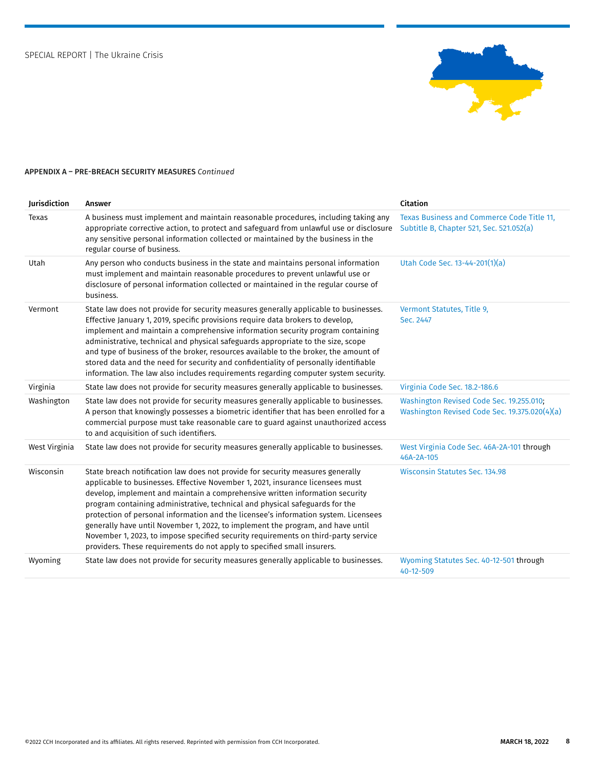

| Jurisdiction  | Answer                                                                                                                                                                                                                                                                                                                                                                                                                                                                                                                                                                                                                                                                      | Citation                                                                                  |
|---------------|-----------------------------------------------------------------------------------------------------------------------------------------------------------------------------------------------------------------------------------------------------------------------------------------------------------------------------------------------------------------------------------------------------------------------------------------------------------------------------------------------------------------------------------------------------------------------------------------------------------------------------------------------------------------------------|-------------------------------------------------------------------------------------------|
| Texas         | A business must implement and maintain reasonable procedures, including taking any<br>appropriate corrective action, to protect and safeguard from unlawful use or disclosure<br>any sensitive personal information collected or maintained by the business in the<br>regular course of business.                                                                                                                                                                                                                                                                                                                                                                           | Texas Business and Commerce Code Title 11,<br>Subtitle B, Chapter 521, Sec. 521.052(a)    |
| Utah          | Any person who conducts business in the state and maintains personal information<br>must implement and maintain reasonable procedures to prevent unlawful use or<br>disclosure of personal information collected or maintained in the regular course of<br>business.                                                                                                                                                                                                                                                                                                                                                                                                        | Utah Code Sec. 13-44-201(1)(a)                                                            |
| Vermont       | State law does not provide for security measures generally applicable to businesses.<br>Effective January 1, 2019, specific provisions require data brokers to develop,<br>implement and maintain a comprehensive information security program containing<br>administrative, technical and physical safeguards appropriate to the size, scope<br>and type of business of the broker, resources available to the broker, the amount of<br>stored data and the need for security and confidentiality of personally identifiable<br>information. The law also includes requirements regarding computer system security.                                                        | Vermont Statutes, Title 9,<br>Sec. 2447                                                   |
| Virginia      | State law does not provide for security measures generally applicable to businesses.                                                                                                                                                                                                                                                                                                                                                                                                                                                                                                                                                                                        | Virginia Code Sec. 18.2-186.6                                                             |
| Washington    | State law does not provide for security measures generally applicable to businesses.<br>A person that knowingly possesses a biometric identifier that has been enrolled for a<br>commercial purpose must take reasonable care to guard against unauthorized access<br>to and acquisition of such identifiers.                                                                                                                                                                                                                                                                                                                                                               | Washington Revised Code Sec. 19.255.010;<br>Washington Revised Code Sec. 19.375.020(4)(a) |
| West Virginia | State law does not provide for security measures generally applicable to businesses.                                                                                                                                                                                                                                                                                                                                                                                                                                                                                                                                                                                        | West Virginia Code Sec. 46A-2A-101 through<br>46A-2A-105                                  |
| Wisconsin     | State breach notification law does not provide for security measures generally<br>applicable to businesses. Effective November 1, 2021, insurance licensees must<br>develop, implement and maintain a comprehensive written information security<br>program containing administrative, technical and physical safeguards for the<br>protection of personal information and the licensee's information system. Licensees<br>generally have until November 1, 2022, to implement the program, and have until<br>November 1, 2023, to impose specified security requirements on third-party service<br>providers. These requirements do not apply to specified small insurers. | Wisconsin Statutes Sec. 134.98                                                            |
| Wyoming       | State law does not provide for security measures generally applicable to businesses.                                                                                                                                                                                                                                                                                                                                                                                                                                                                                                                                                                                        | Wyoming Statutes Sec. 40-12-501 through<br>40-12-509                                      |